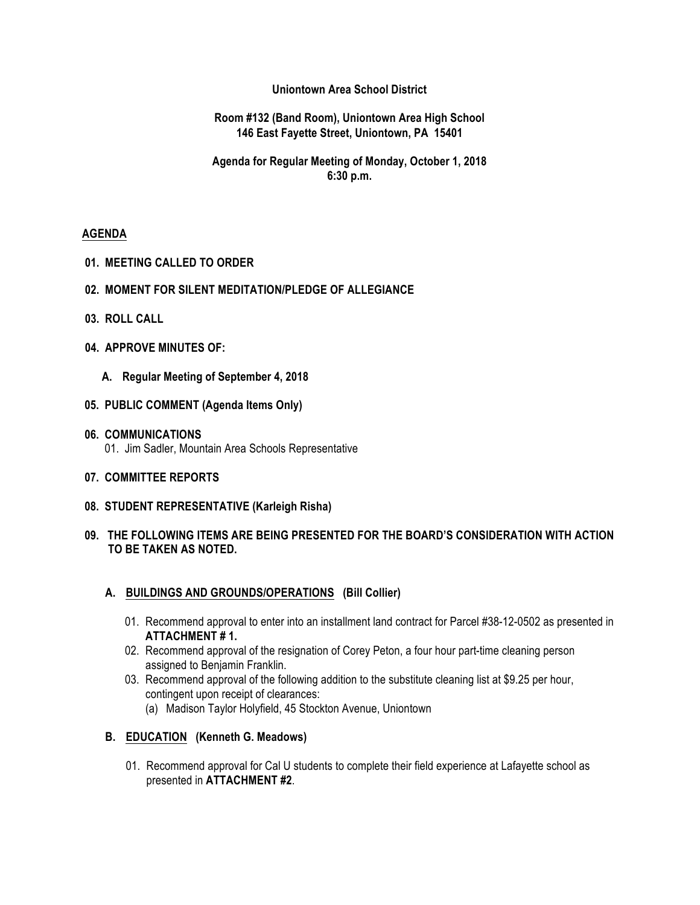## **Uniontown Area School District**

## **Room #132 (Band Room), Uniontown Area High School 146 East Fayette Street, Uniontown, PA 15401**

# **Agenda for Regular Meeting of Monday, October 1, 2018 6:30 p.m.**

## **AGENDA**

- **01. MEETING CALLED TO ORDER**
- **02. MOMENT FOR SILENT MEDITATION/PLEDGE OF ALLEGIANCE**
- **03. ROLL CALL**
- **04. APPROVE MINUTES OF:**
	- **A. Regular Meeting of September 4, 2018**
- **05. PUBLIC COMMENT (Agenda Items Only)**
- **06. COMMUNICATIONS** 01. Jim Sadler, Mountain Area Schools Representative
- **07. COMMITTEE REPORTS**
- **08. STUDENT REPRESENTATIVE (Karleigh Risha)**
- **09. THE FOLLOWING ITEMS ARE BEING PRESENTED FOR THE BOARD'S CONSIDERATION WITH ACTION TO BE TAKEN AS NOTED.**

### **A. BUILDINGS AND GROUNDS/OPERATIONS (Bill Collier)**

- 01. Recommend approval to enter into an installment land contract for Parcel #38-12-0502 as presented in **ATTACHMENT # 1.**
- 02. Recommend approval of the resignation of Corey Peton, a four hour part-time cleaning person assigned to Benjamin Franklin.
- 03. Recommend approval of the following addition to the substitute cleaning list at \$9.25 per hour, contingent upon receipt of clearances:
	- (a) Madison Taylor Holyfield, 45 Stockton Avenue, Uniontown

### **B. EDUCATION (Kenneth G. Meadows)**

01. Recommend approval for Cal U students to complete their field experience at Lafayette school as presented in **ATTACHMENT #2**.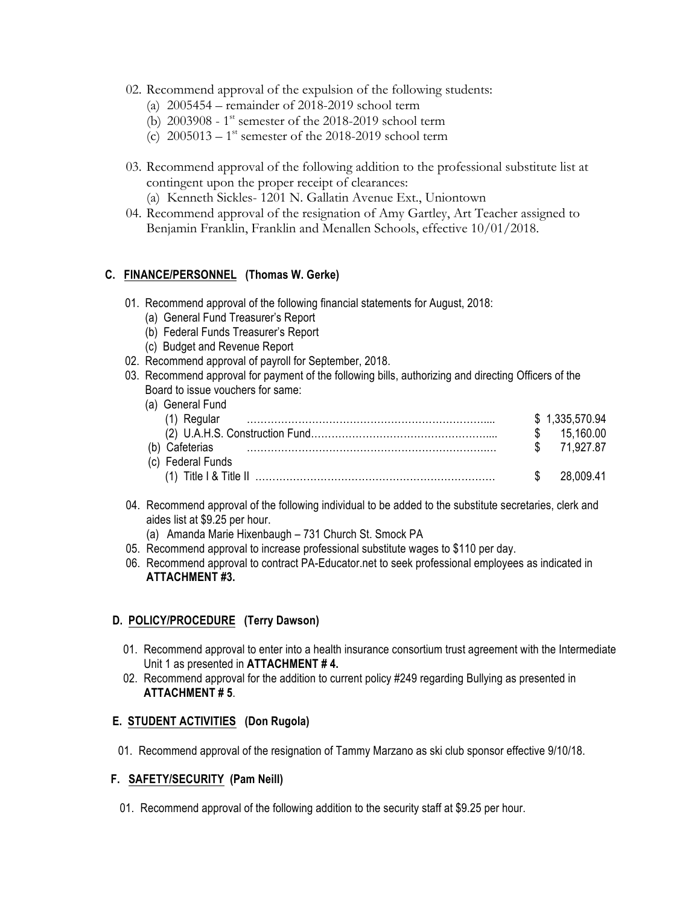- 02. Recommend approval of the expulsion of the following students:
	- (a) 2005454 remainder of 2018-2019 school term
	- (b)  $2003908 1$ <sup>st</sup> semester of the  $2018-2019$  school term
	- (c)  $2005013 1$ <sup>st</sup> semester of the 2018-2019 school term
- 03. Recommend approval of the following addition to the professional substitute list at contingent upon the proper receipt of clearances:
	- (a) Kenneth Sickles- 1201 N. Gallatin Avenue Ext., Uniontown
- 04. Recommend approval of the resignation of Amy Gartley, Art Teacher assigned to Benjamin Franklin, Franklin and Menallen Schools, effective 10/01/2018.

## **C. FINANCE/PERSONNEL (Thomas W. Gerke)**

- 01. Recommend approval of the following financial statements for August, 2018:
	- (a) General Fund Treasurer's Report
	- (b) Federal Funds Treasurer's Report
	- (c) Budget and Revenue Report
- 02. Recommend approval of payroll for September, 2018.
- 03. Recommend approval for payment of the following bills, authorizing and directing Officers of the Board to issue vouchers for same:

| (a) General Fund  |                |
|-------------------|----------------|
| (1) Regular       | \$1,335,570.94 |
|                   | 15.160.00      |
| (b) Cafeterias    | 71 927 87      |
| (c) Federal Funds |                |
|                   | 28.009.41      |

- 04. Recommend approval of the following individual to be added to the substitute secretaries, clerk and aides list at \$9.25 per hour.
	- (a) Amanda Marie Hixenbaugh 731 Church St. Smock PA
- 05. Recommend approval to increase professional substitute wages to \$110 per day.
- 06. Recommend approval to contract PA-Educator.net to seek professional employees as indicated in **ATTACHMENT #3.**

### **D. POLICY/PROCEDURE (Terry Dawson)**

- 01. Recommend approval to enter into a health insurance consortium trust agreement with the Intermediate Unit 1 as presented in **ATTACHMENT # 4.**
- 02. Recommend approval for the addition to current policy #249 regarding Bullying as presented in **ATTACHMENT # 5**.

### **E. STUDENT ACTIVITIES (Don Rugola)**

01. Recommend approval of the resignation of Tammy Marzano as ski club sponsor effective 9/10/18.

# **F. SAFETY/SECURITY (Pam Neill)**

01. Recommend approval of the following addition to the security staff at \$9.25 per hour.